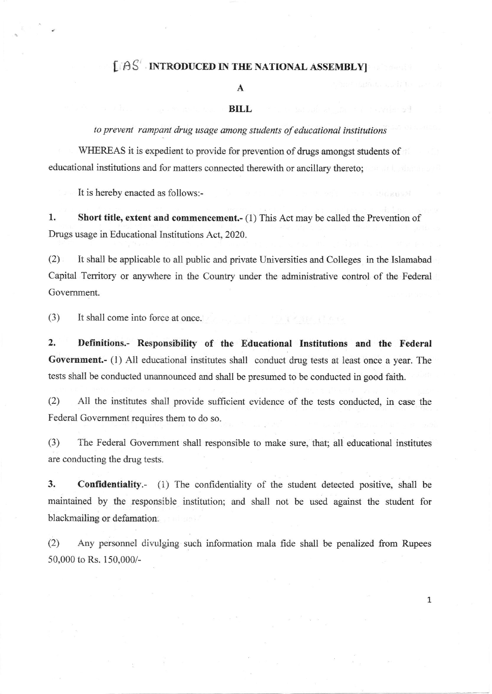## $$

## A

## BILL

to prevent rampant drug usage among students of educational institutions

WHEREAS it is expedient to provide for prevention of drugs amongst students of educational institutions and for matters connected therewith or ancillary thereto;

It is hereby enacted as follows:-

l. Short title, extent and commencement.- (1) This Act may be called the Prevention of Drugs usage in Educational Institutions Act, 2020.

(2) It shall be applicable to all public and private Universities and Colleges in the Islamabad Capital Territory or anyvhere in the Country under the administrative control of the Federal Govemment.

(3) It shall come into force at once.

2. Definitions.- Responsibility of the Educational Institutions and the Federal Government.- (1) All educational institutes shall conduct drug tests at least once a year. The tests shall be conducted unannounced and shall be presumed to be conducted in good faith.

(2) All the institutes shall provide suffrcient evidence of the tests conducted, in case the Federal Government requires them to do so.

(3) The Federal Govemment shall responsible to make sure, that; all educational institutes are conducting the drug tests.

3. Confidentiality.- (i) The confidentiality of the student detected positive, shall be maintained by the responsible institution; and shall not be used against the srudent for blackmailing or defamation.

(2) Any personnel divulging such information mala fide shall be penalized from Rupees 50,000 to Rs. 150,000/-

1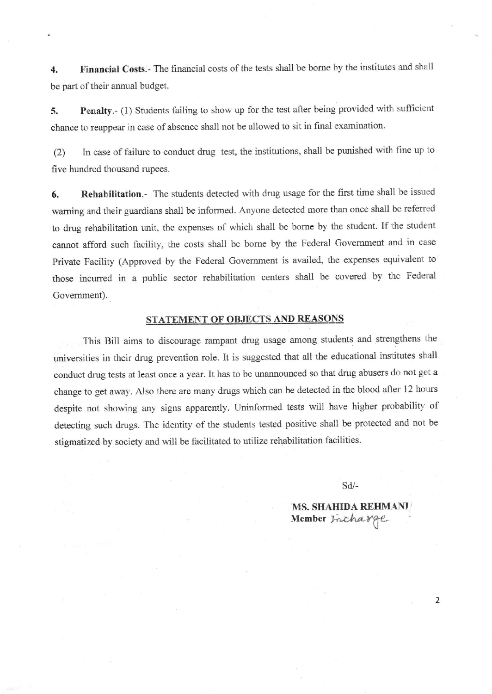4. Financial Costs.- The financial costs of the tests shall be borne by the institutes and shall be part of their annual budget.

5. Penalty.- (1) Students failing to show up for the test after being provided with sufficient chance to reappear in case of absence shall not be allowed to sit in final examination.

(2) In case of failure to conduct drug test, the institutions, shall be punished with fine up 1o five hundred thousand rupees.

6. Rehabilitation.- The students detected with drug usage for the first time shall be issued waming and their guardians shall be informed. Anyone detected more than once shall be refered to drug rehabilitation unit, the expenses of which shall be borne by the student. If the student cannot afford such facility, the costs shail be bome by the Federal Govemment and in case Private Facility (Approved by the Federal Government is availed, the expenses equivalent to those incurred in a public sector rehabilitation centers shall be covered by the Federal Government).

## STATEMENT OF OBJECTS AND REASONS

This Bill aims to discourage rampant drug usage among students and strengthens the universities in their drug prevention role. It is suggested that all the educational institutes shall conduct drug tests at least once a year. It has to be unannounced so that drug abusers do not get a change to get away. Also there are many drugs which can be detected in the blood after 12 hours despite not showing any signs apparently. Uninformed tests will have higher probability of detecting such drugs. The identity of the students tested positive shall be protected and not be stigmatized by society and will be facilitated to utilize rehabilitation facilities.

sd/-

MS. SHAHIDA REHMANI Member Incharge

2